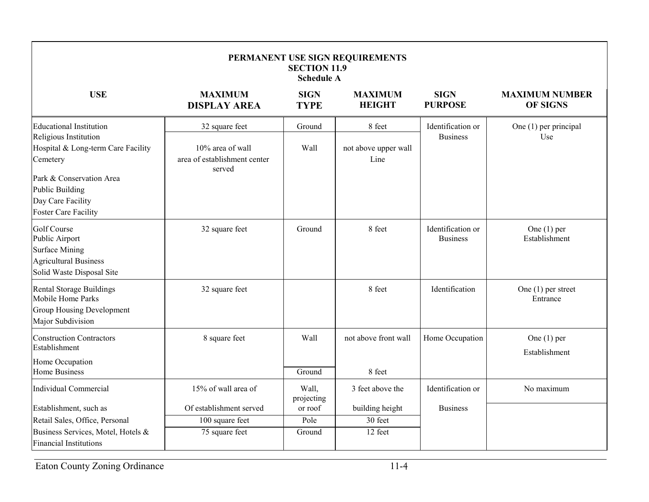| PERMANENT USE SIGN REQUIREMENTS<br><b>SECTION 11.9</b><br><b>Schedule A</b>                                                                                                                           |                                                                              |                            |                                        |                                      |                                          |  |  |  |  |
|-------------------------------------------------------------------------------------------------------------------------------------------------------------------------------------------------------|------------------------------------------------------------------------------|----------------------------|----------------------------------------|--------------------------------------|------------------------------------------|--|--|--|--|
| <b>USE</b>                                                                                                                                                                                            | <b>MAXIMUM</b><br><b>DISPLAY AREA</b>                                        | <b>SIGN</b><br><b>TYPE</b> | <b>MAXIMUM</b><br><b>HEIGHT</b>        | <b>SIGN</b><br><b>PURPOSE</b>        | <b>MAXIMUM NUMBER</b><br><b>OF SIGNS</b> |  |  |  |  |
| Educational Institution<br>Religious Institution<br>Hospital & Long-term Care Facility<br>Cemetery<br>Park & Conservation Area<br>Public Building<br>Day Care Facility<br><b>Foster Care Facility</b> | 32 square feet<br>10% area of wall<br>area of establishment center<br>served | Ground<br>Wall             | 8 feet<br>not above upper wall<br>Line | Identification or<br><b>Business</b> | One (1) per principal<br>Use             |  |  |  |  |
| Golf Course<br>Public Airport<br><b>Surface Mining</b><br><b>Agricultural Business</b><br>Solid Waste Disposal Site                                                                                   | 32 square feet                                                               | Ground                     | 8 feet                                 | Identification or<br><b>Business</b> | One $(1)$ per<br>Establishment           |  |  |  |  |
| Rental Storage Buildings<br>Mobile Home Parks<br>Group Housing Development<br>Major Subdivision                                                                                                       | 32 square feet                                                               |                            | 8 feet                                 | Identification                       | One $(1)$ per street<br>Entrance         |  |  |  |  |
| <b>Construction Contractors</b><br>Establishment<br>Home Occupation<br><b>Home Business</b>                                                                                                           | 8 square feet                                                                | Wall<br>Ground             | not above front wall<br>8 feet         | Home Occupation                      | One $(1)$ per<br>Establishment           |  |  |  |  |
| <b>Individual Commercial</b>                                                                                                                                                                          | 15% of wall area of                                                          | Wall,<br>projecting        | 3 feet above the                       | Identification or                    | No maximum                               |  |  |  |  |
| Establishment, such as<br>Retail Sales, Office, Personal<br>Business Services, Motel, Hotels &<br><b>Financial Institutions</b>                                                                       | Of establishment served<br>100 square feet<br>75 square feet                 | or roof<br>Pole<br>Ground  | building height<br>30 feet<br>12 feet  | <b>Business</b>                      |                                          |  |  |  |  |

Eaton County Zoning Ordinance 11-4